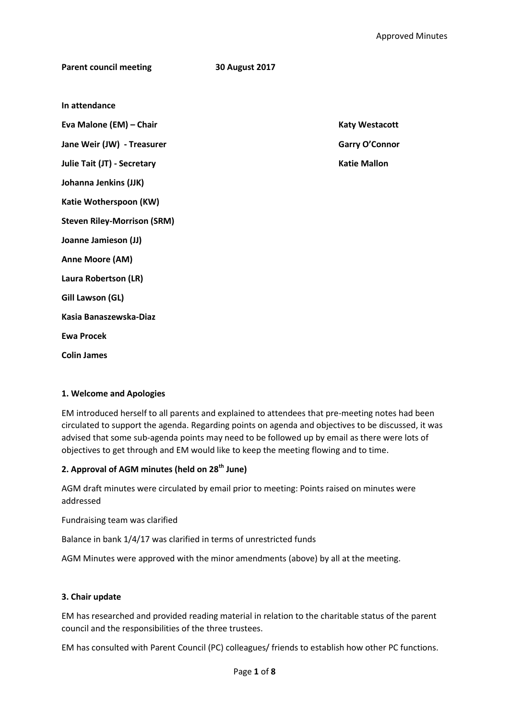| <b>Parent council meeting</b>      | <b>30 August 2017</b> |                       |
|------------------------------------|-----------------------|-----------------------|
|                                    |                       |                       |
| In attendance                      |                       |                       |
| Eva Malone (EM) - Chair            |                       | <b>Katy Westacott</b> |
| Jane Weir (JW) - Treasurer         |                       | <b>Garry O'Connor</b> |
| Julie Tait (JT) - Secretary        |                       | <b>Katie Mallon</b>   |
| Johanna Jenkins (JJK)              |                       |                       |
| Katie Wotherspoon (KW)             |                       |                       |
| <b>Steven Riley-Morrison (SRM)</b> |                       |                       |
| Joanne Jamieson (JJ)               |                       |                       |
| Anne Moore (AM)                    |                       |                       |
| Laura Robertson (LR)               |                       |                       |
| Gill Lawson (GL)                   |                       |                       |
| Kasia Banaszewska-Diaz             |                       |                       |
| <b>Ewa Procek</b>                  |                       |                       |
| <b>Colin James</b>                 |                       |                       |

# **1. Welcome and Apologies**

EM introduced herself to all parents and explained to attendees that pre-meeting notes had been circulated to support the agenda. Regarding points on agenda and objectives to be discussed, it was advised that some sub-agenda points may need to be followed up by email as there were lots of objectives to get through and EM would like to keep the meeting flowing and to time.

# **2. Approval of AGM minutes (held on 28th June)**

AGM draft minutes were circulated by email prior to meeting: Points raised on minutes were addressed

Fundraising team was clarified

Balance in bank 1/4/17 was clarified in terms of unrestricted funds

AGM Minutes were approved with the minor amendments (above) by all at the meeting.

# **3. Chair update**

EM has researched and provided reading material in relation to the charitable status of the parent council and the responsibilities of the three trustees.

EM has consulted with Parent Council (PC) colleagues/ friends to establish how other PC functions.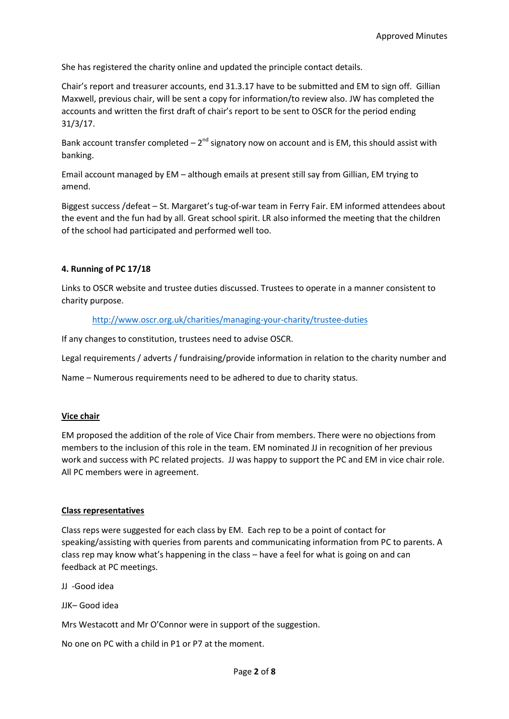She has registered the charity online and updated the principle contact details.

Chair's report and treasurer accounts, end 31.3.17 have to be submitted and EM to sign off. Gillian Maxwell, previous chair, will be sent a copy for information/to review also. JW has completed the accounts and written the first draft of chair's report to be sent to OSCR for the period ending 31/3/17.

Bank account transfer completed  $-2^{nd}$  signatory now on account and is EM, this should assist with banking.

Email account managed by EM – although emails at present still say from Gillian, EM trying to amend.

Biggest success /defeat – St. Margaret's tug-of-war team in Ferry Fair. EM informed attendees about the event and the fun had by all. Great school spirit. LR also informed the meeting that the children of the school had participated and performed well too.

### **4. Running of PC 17/18**

Links to OSCR website and trustee duties discussed. Trustees to operate in a manner consistent to charity purpose.

<http://www.oscr.org.uk/charities/managing-your-charity/trustee-duties>

If any changes to constitution, trustees need to advise OSCR.

Legal requirements / adverts / fundraising/provide information in relation to the charity number and

Name – Numerous requirements need to be adhered to due to charity status.

#### **Vice chair**

EM proposed the addition of the role of Vice Chair from members. There were no objections from members to the inclusion of this role in the team. EM nominated JJ in recognition of her previous work and success with PC related projects. JJ was happy to support the PC and EM in vice chair role. All PC members were in agreement.

#### **Class representatives**

Class reps were suggested for each class by EM. Each rep to be a point of contact for speaking/assisting with queries from parents and communicating information from PC to parents. A class rep may know what's happening in the class – have a feel for what is going on and can feedback at PC meetings.

JJ -Good idea

JJK– Good idea

Mrs Westacott and Mr O'Connor were in support of the suggestion.

No one on PC with a child in P1 or P7 at the moment.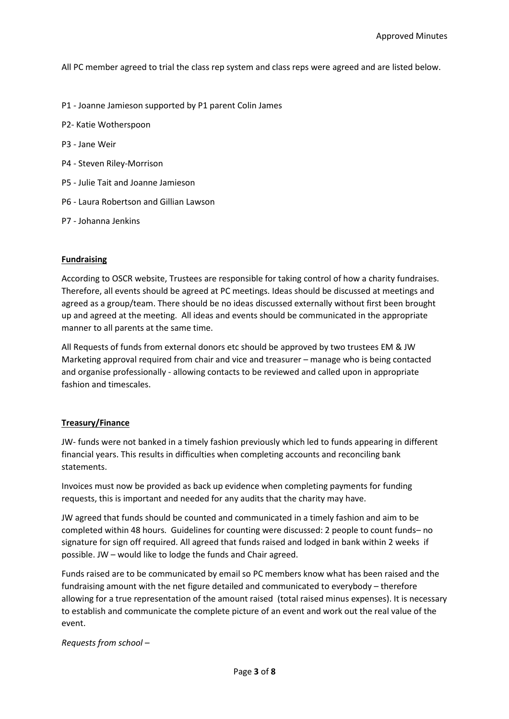All PC member agreed to trial the class rep system and class reps were agreed and are listed below.

- P1 Joanne Jamieson supported by P1 parent Colin James
- P2- Katie Wotherspoon
- P3 Jane Weir
- P4 Steven Riley-Morrison
- P5 Julie Tait and Joanne Jamieson
- P6 Laura Robertson and Gillian Lawson
- P7 Johanna Jenkins

### **Fundraising**

According to OSCR website, Trustees are responsible for taking control of how a charity fundraises. Therefore, all events should be agreed at PC meetings. Ideas should be discussed at meetings and agreed as a group/team. There should be no ideas discussed externally without first been brought up and agreed at the meeting. All ideas and events should be communicated in the appropriate manner to all parents at the same time.

All Requests of funds from external donors etc should be approved by two trustees EM & JW Marketing approval required from chair and vice and treasurer – manage who is being contacted and organise professionally - allowing contacts to be reviewed and called upon in appropriate fashion and timescales.

# **Treasury/Finance**

JW- funds were not banked in a timely fashion previously which led to funds appearing in different financial years. This results in difficulties when completing accounts and reconciling bank statements.

Invoices must now be provided as back up evidence when completing payments for funding requests, this is important and needed for any audits that the charity may have.

JW agreed that funds should be counted and communicated in a timely fashion and aim to be completed within 48 hours. Guidelines for counting were discussed: 2 people to count funds– no signature for sign off required. All agreed that funds raised and lodged in bank within 2 weeks if possible. JW – would like to lodge the funds and Chair agreed.

Funds raised are to be communicated by email so PC members know what has been raised and the fundraising amount with the net figure detailed and communicated to everybody – therefore allowing for a true representation of the amount raised (total raised minus expenses). It is necessary to establish and communicate the complete picture of an event and work out the real value of the event.

*Requests from school –*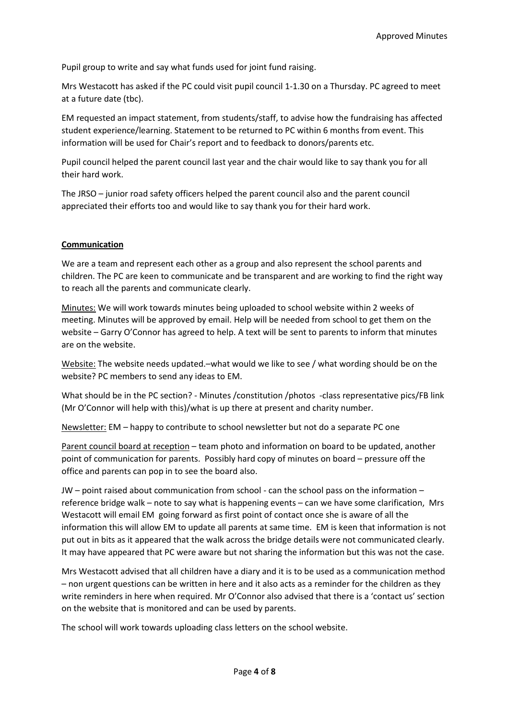Pupil group to write and say what funds used for joint fund raising.

Mrs Westacott has asked if the PC could visit pupil council 1-1.30 on a Thursday. PC agreed to meet at a future date (tbc).

EM requested an impact statement, from students/staff, to advise how the fundraising has affected student experience/learning. Statement to be returned to PC within 6 months from event. This information will be used for Chair's report and to feedback to donors/parents etc.

Pupil council helped the parent council last year and the chair would like to say thank you for all their hard work.

The JRSO – junior road safety officers helped the parent council also and the parent council appreciated their efforts too and would like to say thank you for their hard work.

# **Communication**

We are a team and represent each other as a group and also represent the school parents and children. The PC are keen to communicate and be transparent and are working to find the right way to reach all the parents and communicate clearly.

Minutes: We will work towards minutes being uploaded to school website within 2 weeks of meeting. Minutes will be approved by email. Help will be needed from school to get them on the website – Garry O'Connor has agreed to help. A text will be sent to parents to inform that minutes are on the website.

Website: The website needs updated.–what would we like to see / what wording should be on the website? PC members to send any ideas to EM.

What should be in the PC section? - Minutes /constitution /photos -class representative pics/FB link (Mr O'Connor will help with this)/what is up there at present and charity number.

Newsletter: EM – happy to contribute to school newsletter but not do a separate PC one

Parent council board at reception – team photo and information on board to be updated, another point of communication for parents. Possibly hard copy of minutes on board – pressure off the office and parents can pop in to see the board also.

JW – point raised about communication from school - can the school pass on the information – reference bridge walk – note to say what is happening events – can we have some clarification, Mrs Westacott will email EM going forward as first point of contact once she is aware of all the information this will allow EM to update all parents at same time. EM is keen that information is not put out in bits as it appeared that the walk across the bridge details were not communicated clearly. It may have appeared that PC were aware but not sharing the information but this was not the case.

Mrs Westacott advised that all children have a diary and it is to be used as a communication method – non urgent questions can be written in here and it also acts as a reminder for the children as they write reminders in here when required. Mr O'Connor also advised that there is a 'contact us' section on the website that is monitored and can be used by parents.

The school will work towards uploading class letters on the school website.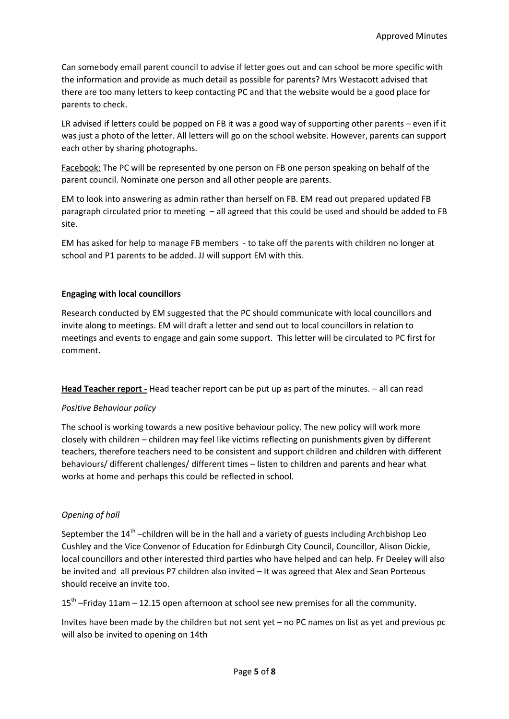Can somebody email parent council to advise if letter goes out and can school be more specific with the information and provide as much detail as possible for parents? Mrs Westacott advised that there are too many letters to keep contacting PC and that the website would be a good place for parents to check.

LR advised if letters could be popped on FB it was a good way of supporting other parents – even if it was just a photo of the letter. All letters will go on the school website. However, parents can support each other by sharing photographs.

Facebook: The PC will be represented by one person on FB one person speaking on behalf of the parent council. Nominate one person and all other people are parents.

EM to look into answering as admin rather than herself on FB. EM read out prepared updated FB paragraph circulated prior to meeting – all agreed that this could be used and should be added to FB site.

EM has asked for help to manage FB members - to take off the parents with children no longer at school and P1 parents to be added. JJ will support EM with this.

### **Engaging with local councillors**

Research conducted by EM suggested that the PC should communicate with local councillors and invite along to meetings. EM will draft a letter and send out to local councillors in relation to meetings and events to engage and gain some support. This letter will be circulated to PC first for comment.

**Head Teacher report -** Head teacher report can be put up as part of the minutes. – all can read

# *Positive Behaviour policy*

The school is working towards a new positive behaviour policy. The new policy will work more closely with children – children may feel like victims reflecting on punishments given by different teachers, therefore teachers need to be consistent and support children and children with different behaviours/ different challenges/ different times – listen to children and parents and hear what works at home and perhaps this could be reflected in school.

# *Opening of hall*

September the  $14^{th}$  -children will be in the hall and a variety of guests including Archbishop Leo Cushley and the Vice Convenor of Education for Edinburgh City Council, Councillor, Alison Dickie, local councillors and other interested third parties who have helped and can help. Fr Deeley will also be invited and all previous P7 children also invited – It was agreed that Alex and Sean Porteous should receive an invite too.

15<sup>th</sup> –Friday 11am – 12.15 open afternoon at school see new premises for all the community.

Invites have been made by the children but not sent yet – no PC names on list as yet and previous pc will also be invited to opening on 14th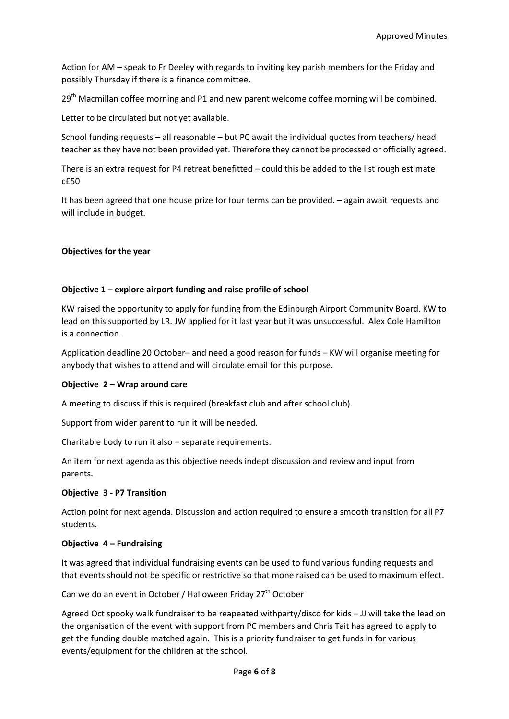Action for AM – speak to Fr Deeley with regards to inviting key parish members for the Friday and possibly Thursday if there is a finance committee.

 $29<sup>th</sup>$  Macmillan coffee morning and P1 and new parent welcome coffee morning will be combined.

Letter to be circulated but not yet available.

School funding requests – all reasonable – but PC await the individual quotes from teachers/ head teacher as they have not been provided yet. Therefore they cannot be processed or officially agreed.

There is an extra request for P4 retreat benefitted – could this be added to the list rough estimate c£50

It has been agreed that one house prize for four terms can be provided. – again await requests and will include in budget.

### **Objectives for the year**

# **Objective 1 – explore airport funding and raise profile of school**

KW raised the opportunity to apply for funding from the Edinburgh Airport Community Board. KW to lead on this supported by LR. JW applied for it last year but it was unsuccessful. Alex Cole Hamilton is a connection.

Application deadline 20 October– and need a good reason for funds – KW will organise meeting for anybody that wishes to attend and will circulate email for this purpose.

#### **Objective 2 – Wrap around care**

A meeting to discuss if this is required (breakfast club and after school club).

Support from wider parent to run it will be needed.

Charitable body to run it also – separate requirements.

An item for next agenda as this objective needs indept discussion and review and input from parents.

#### **Objective 3 - P7 Transition**

Action point for next agenda. Discussion and action required to ensure a smooth transition for all P7 students.

#### **Objective 4 – Fundraising**

It was agreed that individual fundraising events can be used to fund various funding requests and that events should not be specific or restrictive so that mone raised can be used to maximum effect.

Can we do an event in October / Halloween Friday 27<sup>th</sup> October

Agreed Oct spooky walk fundraiser to be reapeated withparty/disco for kids – JJ will take the lead on the organisation of the event with support from PC members and Chris Tait has agreed to apply to get the funding double matched again. This is a priority fundraiser to get funds in for various events/equipment for the children at the school.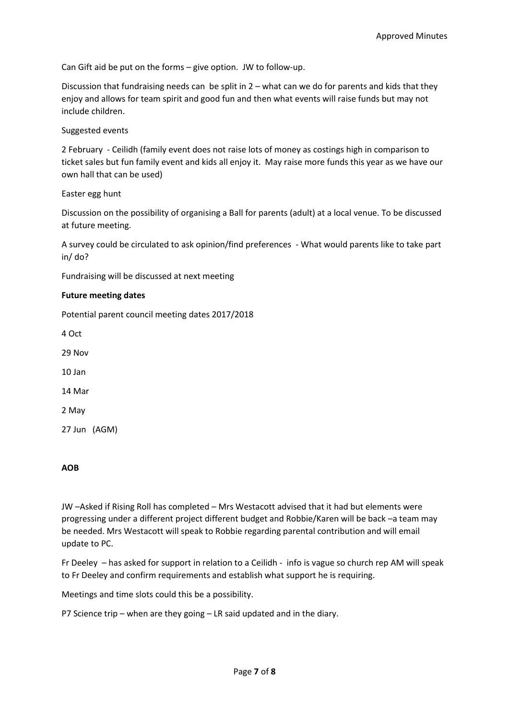Can Gift aid be put on the forms – give option. JW to follow-up.

Discussion that fundraising needs can be split in 2 – what can we do for parents and kids that they enjoy and allows for team spirit and good fun and then what events will raise funds but may not include children.

Suggested events

2 February - Ceilidh (family event does not raise lots of money as costings high in comparison to ticket sales but fun family event and kids all enjoy it. May raise more funds this year as we have our own hall that can be used)

# Easter egg hunt

Discussion on the possibility of organising a Ball for parents (adult) at a local venue. To be discussed at future meeting.

A survey could be circulated to ask opinion/find preferences - What would parents like to take part in/ do?

Fundraising will be discussed at next meeting

### **Future meeting dates**

Potential parent council meeting dates 2017/2018

4 Oct 29 Nov 10 Jan 14 Mar 2 May 27 Jun (AGM)

#### **AOB**

JW –Asked if Rising Roll has completed – Mrs Westacott advised that it had but elements were progressing under a different project different budget and Robbie/Karen will be back –a team may be needed. Mrs Westacott will speak to Robbie regarding parental contribution and will email update to PC.

Fr Deeley – has asked for support in relation to a Ceilidh - info is vague so church rep AM will speak to Fr Deeley and confirm requirements and establish what support he is requiring.

Meetings and time slots could this be a possibility.

P7 Science trip – when are they going – LR said updated and in the diary.